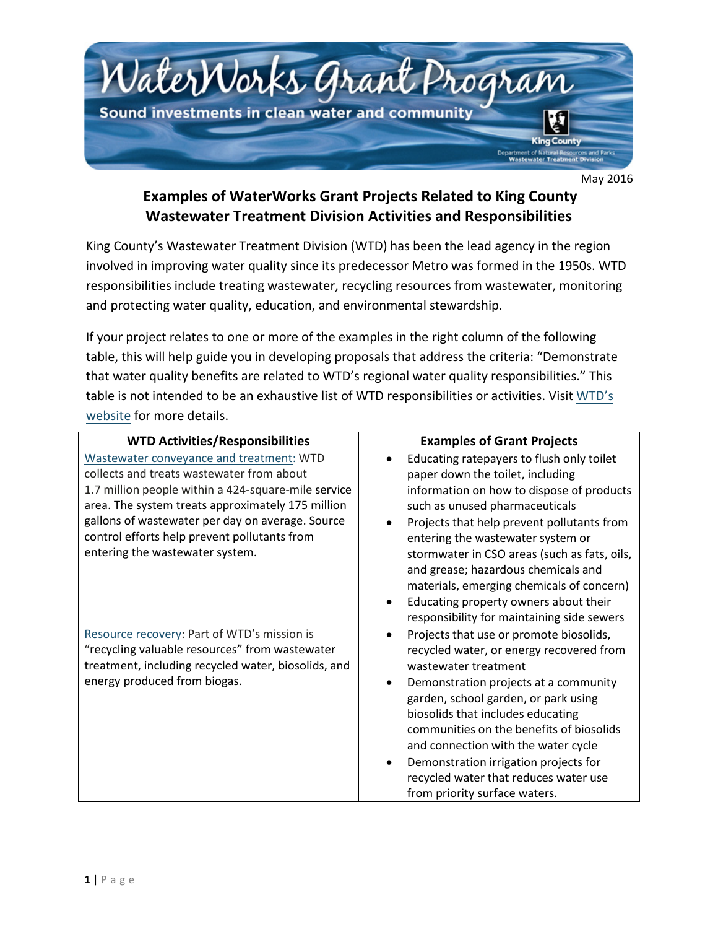

May 2016

## **Examples of WaterWorks Grant Projects Related to King County Wastewater Treatment Division Activities and Responsibilities**

King County's Wastewater Treatment Division (WTD) has been the lead agency in the region involved in improving water quality since its predecessor Metro was formed in the 1950s. WTD responsibilities include treating wastewater, recycling resources from wastewater, monitoring and protecting water quality, education, and environmental stewardship.

If your project relates to one or more of the examples in the right column of the following table, this will help guide you in developing proposals that address the criteria: "Demonstrate that water quality benefits are related to WTD's regional water quality responsibilities." This table is not intended to be an exhaustive list of W[TD responsibiliti](http://www.kingcounty.gov/environment/wtd.aspx)es or activities. Visit WTD's website for more details.

| <b>WTD Activities/Responsibilities</b>                                                                                                                                                                                                                                                                                                   | <b>Examples of Grant Projects</b>                                                                                                                                                                                                                                                                                                                                                                                                                                                                                            |
|------------------------------------------------------------------------------------------------------------------------------------------------------------------------------------------------------------------------------------------------------------------------------------------------------------------------------------------|------------------------------------------------------------------------------------------------------------------------------------------------------------------------------------------------------------------------------------------------------------------------------------------------------------------------------------------------------------------------------------------------------------------------------------------------------------------------------------------------------------------------------|
| Wastewater conveyance and treatment: WTD<br>collects and treats wastewater from about<br>1.7 million people within a 424-square-mile service<br>area. The system treats approximately 175 million<br>gallons of wastewater per day on average. Source<br>control efforts help prevent pollutants from<br>entering the wastewater system. | Educating ratepayers to flush only toilet<br>paper down the toilet, including<br>information on how to dispose of products<br>such as unused pharmaceuticals<br>Projects that help prevent pollutants from<br>entering the wastewater system or<br>stormwater in CSO areas (such as fats, oils,<br>and grease; hazardous chemicals and<br>materials, emerging chemicals of concern)<br>Educating property owners about their<br>$\bullet$                                                                                    |
| Resource recovery: Part of WTD's mission is<br>"recycling valuable resources" from wastewater<br>treatment, including recycled water, biosolids, and<br>energy produced from biogas.                                                                                                                                                     | responsibility for maintaining side sewers<br>Projects that use or promote biosolids,<br>$\bullet$<br>recycled water, or energy recovered from<br>wastewater treatment<br>Demonstration projects at a community<br>$\bullet$<br>garden, school garden, or park using<br>biosolids that includes educating<br>communities on the benefits of biosolids<br>and connection with the water cycle<br>Demonstration irrigation projects for<br>$\bullet$<br>recycled water that reduces water use<br>from priority surface waters. |